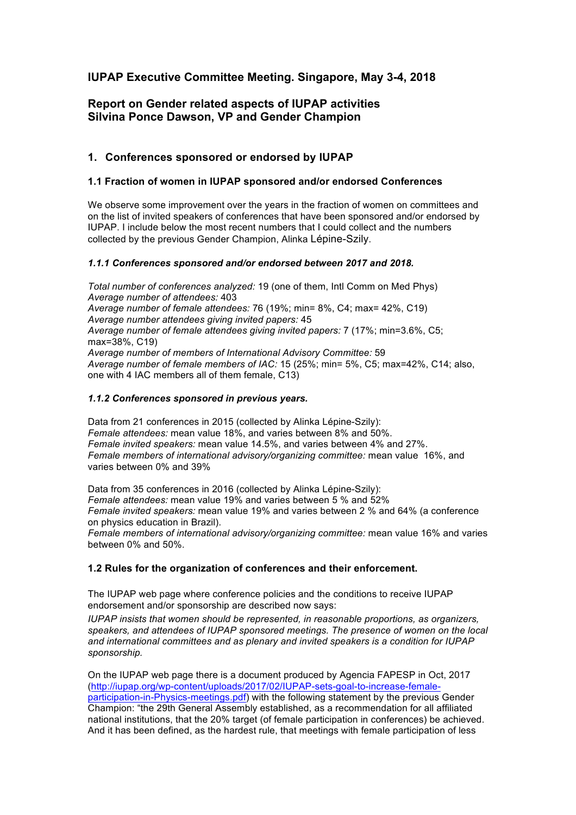# **IUPAP Executive Committee Meeting. Singapore, May 3-4, 2018**

## **Report on Gender related aspects of IUPAP activities Silvina Ponce Dawson, VP and Gender Champion**

## **1. Conferences sponsored or endorsed by IUPAP**

### **1.1 Fraction of women in IUPAP sponsored and/or endorsed Conferences**

We observe some improvement over the years in the fraction of women on committees and on the list of invited speakers of conferences that have been sponsored and/or endorsed by IUPAP. I include below the most recent numbers that I could collect and the numbers collected by the previous Gender Champion, Alinka Lépine-Szily.

### *1.1.1 Conferences sponsored and/or endorsed between 2017 and 2018.*

*Total number of conferences analyzed:* 19 (one of them, Intl Comm on Med Phys) *Average number of attendees:* 403 *Average number of female attendees:* 76 (19%; min= 8%, C4; max= 42%, C19) *Average number attendees giving invited papers:* 45 *Average number of female attendees giving invited papers:* 7 (17%; min=3.6%, C5; max=38%, C19) *Average number of members of International Advisory Committee:* 59 *Average number of female members of IAC:* 15 (25%; min= 5%, C5; max=42%, C14; also, one with 4 IAC members all of them female, C13)

#### *1.1.2 Conferences sponsored in previous years.*

Data from 21 conferences in 2015 (collected by Alinka Lépine-Szily): *Female attendees:* mean value 18%, and varies between 8% and 50%. *Female invited speakers:* mean value 14.5%, and varies between 4% and 27%. *Female members of international advisory/organizing committee:* mean value 16%, and varies between 0% and 39%

Data from 35 conferences in 2016 (collected by Alinka Lépine-Szily): *Female attendees:* mean value 19% and varies between 5 % and 52% *Female invited speakers:* mean value 19% and varies between 2 % and 64% (a conference on physics education in Brazil). *Female members of international advisory/organizing committee:* mean value 16% and varies between 0% and 50%.

### **1.2 Rules for the organization of conferences and their enforcement.**

The IUPAP web page where conference policies and the conditions to receive IUPAP endorsement and/or sponsorship are described now says:

*IUPAP insists that women should be represented, in reasonable proportions, as organizers, speakers, and attendees of IUPAP sponsored meetings. The presence of women on the local and international committees and as plenary and invited speakers is a condition for IUPAP sponsorship.*

On the IUPAP web page there is a document produced by Agencia FAPESP in Oct, 2017 (http://iupap.org/wp-content/uploads/2017/02/IUPAP-sets-goal-to-increase-femaleparticipation-in-Physics-meetings.pdf) with the following statement by the previous Gender Champion: "the 29th General Assembly established, as a recommendation for all affiliated national institutions, that the 20% target (of female participation in conferences) be achieved. And it has been defined, as the hardest rule, that meetings with female participation of less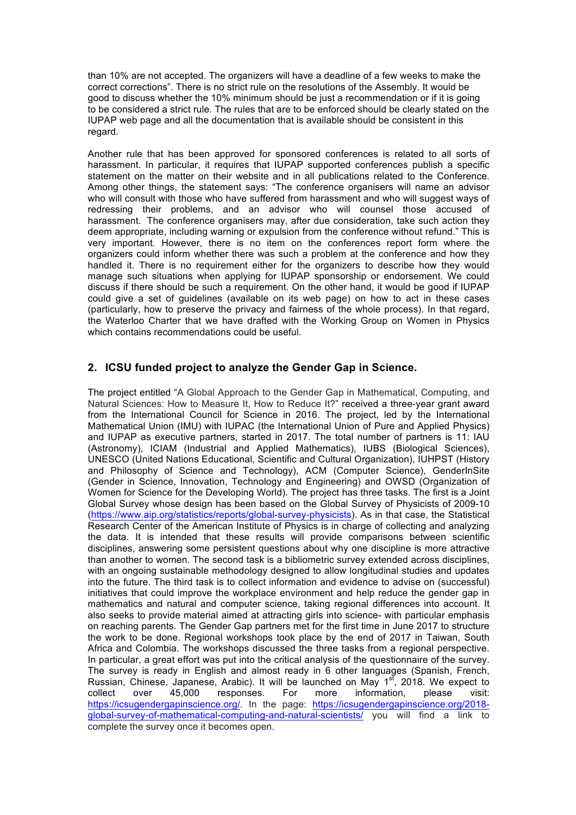than 10% are not accepted. The organizers will have a deadline of a few weeks to make the correct corrections". There is no strict rule on the resolutions of the Assembly. It would be good to discuss whether the 10% minimum should be just a recommendation or if it is going to be considered a strict rule. The rules that are to be enforced should be clearly stated on the IUPAP web page and all the documentation that is available should be consistent in this regard.

Another rule that has been approved for sponsored conferences is related to all sorts of harassment. In particular, it requires that IUPAP supported conferences publish a specific statement on the matter on their website and in all publications related to the Conference. Among other things, the statement says: "The conference organisers will name an advisor who will consult with those who have suffered from harassment and who will suggest ways of redressing their problems, and an advisor who will counsel those accused of harassment. The conference organisers may, after due consideration, take such action they deem appropriate, including warning or expulsion from the conference without refund." This is very important. However, there is no item on the conferences report form where the organizers could inform whether there was such a problem at the conference and how they handled it. There is no requirement either for the organizers to describe how they would manage such situations when applying for IUPAP sponsorship or endorsement. We could discuss if there should be such a requirement. On the other hand, it would be good if IUPAP could give a set of guidelines (available on its web page) on how to act in these cases (particularly, how to preserve the privacy and fairness of the whole process). In that regard, the Waterloo Charter that we have drafted with the Working Group on Women in Physics which contains recommendations could be useful.

### **2. ICSU funded project to analyze the Gender Gap in Science.**

The project entitled "A Global Approach to the Gender Gap in Mathematical, Computing, and Natural Sciences: How to Measure It, How to Reduce It?" received a three-year grant award from the International Council for Science in 2016. The project, led by the International Mathematical Union (IMU) with IUPAC (the International Union of Pure and Applied Physics) and IUPAP as executive partners, started in 2017. The total number of partners is 11: IAU (Astronomy), ICIAM (Industrial and Applied Mathematics), IUBS (Biological Sciences), UNESCO (United Nations Educational, Scientific and Cultural Organization), IUHPST (History and Philosophy of Science and Technology), ACM (Computer Science), GenderInSite (Gender in Science, Innovation, Technology and Engineering) and OWSD (Organization of Women for Science for the Developing World). The project has three tasks. The first is a Joint Global Survey whose design has been based on the Global Survey of Physicists of 2009-10 (https://www.aip.org/statistics/reports/global-survey-physicists). As in that case, the Statistical Research Center of the American Institute of Physics is in charge of collecting and analyzing the data. It is intended that these results will provide comparisons between scientific disciplines, answering some persistent questions about why one discipline is more attractive than another to women. The second task is a bibliometric survey extended across disciplines, with an ongoing sustainable methodology designed to allow longitudinal studies and updates into the future. The third task is to collect information and evidence to advise on (successful) initiatives that could improve the workplace environment and help reduce the gender gap in mathematics and natural and computer science, taking regional differences into account. It also seeks to provide material aimed at attracting girls into science- with particular emphasis on reaching parents. The Gender Gap partners met for the first time in June 2017 to structure the work to be done. Regional workshops took place by the end of 2017 in Taiwan, South Africa and Colombia. The workshops discussed the three tasks from a regional perspective. In particular, a great effort was put into the critical analysis of the questionnaire of the survey. The survey is ready in English and almost ready in 6 other languages (Spanish, French, Russian, Chinese, Japanese, Arabic). It will be launched on May  $1<sup>st</sup>$ , 2018. We expect to collect over 45,000 responses. For more information, please visit: https://icsugendergapinscience.org/. In the page: https://icsugendergapinscience.org/2018 global-survey-of-mathematical-computing-and-natural-scientists/ you will find a link to complete the survey once it becomes open.